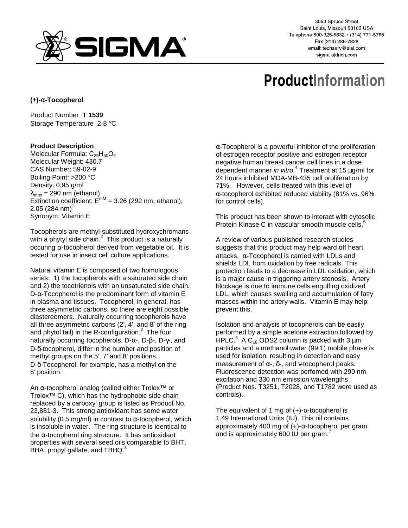

3050 Spruce Street Saint Louis, Missouri 63103 USA Telephone 800-325-5832 · (314) 771-5765 Fax (314) 286-7828 email: techserv@sial.com sigma-aldrich.com

# **ProductInformation**

**(+)-**α**-Tocopherol**

Product Number **T 1539** Storage Temperature 2-8 °C

## **Product Description**

Molecular Formula:  $C_{29}H_{50}O_2$ Molecular Weight: 430.7 CAS Number: 59-02-9 Boiling Point: >200 °C Density: 0.95 g/ml  $\lambda_{\text{max}}$  = 290 nm (ethanol)  $\frac{m_{\text{max}} - 200 \text{ nm}}{200 \text{ rad}}$  Extinction coefficient:  $E^{\text{mm}} = 3.26$  (292 nm, ethanol),  $2.05$  (284 nm)<sup>1</sup> Synonym: Vitamin E

Tocopherols are methyl-substituted hydroxychromans with a phytyl side chain. $^2$  This product is a naturally occuring  $α$ -tocopherol derived from vegetable oil. It is tested for use in insect cell culture applications.

Natural vitamin E is composed of two homologous series: 1) the tocopherols with a saturated side chain and 2) the tocotrienols with an unsaturated side chain. D- $α$ -Tocopherol is the predominant form of vitamin E in plasma and tissues. Tocopherol, in general, has three asymmetric carbons, so there are eight possible diastereomers. Naturally occurring tocopherols have all three asymmetric carbons (2', 4', and 8' of the ring and phytol tail) in the R-configuration.<sup>2</sup> The four naturally occurring tocopherols, D-α-, D-β-, D-γ-, and D-δ-tocopherol, differ in the number and position of methyl groups on the 5', 7' and 8' positions. D-δ-Tocopherol, for example, has a methyl on the 8' position.

An α-tocopherol analog (called either Trolox™ or Trolox™ C), which has the hydrophobic side chain replaced by a carboxyl group is listed as Product No. 23,881-3. This strong antioxidant has some water solubility (0.5 mg/ml) in contrast to  $\alpha$ -tocopherol, which is insoluble in water. The ring structure is identical to the  $\alpha$ -tocopherol ring structure. It has antioxidant properties with several seed oils comparable to BHT, BHA, propyl gallate, and TBHQ.<sup>3</sup>

 $\alpha$ -Tocopherol is a powerful inhibitor of the proliferation of estrogen receptor positive and estrogen receptor negative human breast cancer cell lines in a dose dependent manner in vitro.<sup>4</sup> Treatment at 15 µg/ml for 24 hours inhibited MDA-MB-435 cell proliferation by 71%. However, cells treated with this level of α-tocopherol exhibited reduced viability (81% vs. 96% for control cells).

This product has been shown to interact with cytosolic Protein Kinase C in vascular smooth muscle cells.<sup>5</sup>

A review of various published research studies suggests that this product may help ward off heart attacks. α-Tocopherol is carried with LDLs and shields LDL from oxidation by free radicals. This protection leads to a decrease in LDL oxidation, which is a major cause in triggering artery stenosis. Artery blockage is due to immune cells engulfing oxidized LDL, which causes swelling and accumulation of fatty masses within the artery walls. Vitamin E may help prevent this.

Isolation and analysis of tocopherols can be easily performed by a simple acetone extraction followed by HPLC. $^6$  A C<sub>18</sub> ODS2 column is packed with 3  $\mu$ m particles and a methanol:water (99:1) mobile phase is used for isolation, resulting in detection and easy measurement of  $α$ -,  $δ$ -, and  $γ$ -tocopherol peaks. Fluorescence detection was perfomed with 290 nm excitation and 330 nm emission wavelengths. (Product Nos. T3251, T2028, and T1782 were used as controls).

The equivalent of 1 mg of  $(+)$ - $\alpha$ -tocopherol is 1.49 International Units (IU). This oil contains approximately 400 mg of (+)-α-tocopherol per gram and is approximately 600 IU per gram.<sup>7</sup>